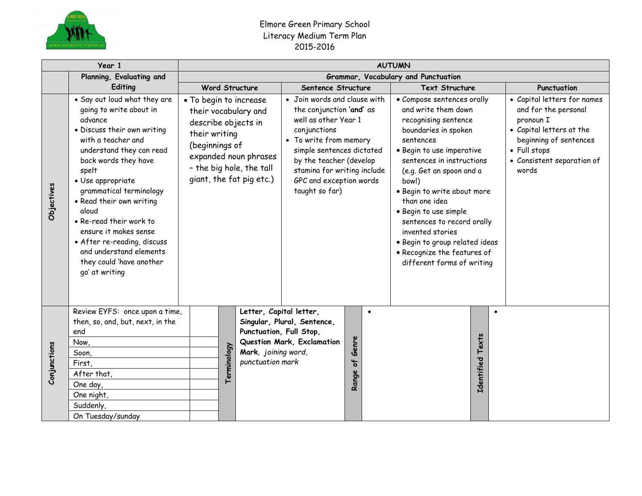

## Elmore Green Primary School Literacy Medium Term Plan 2015-2016

|              | Year 1                                                                                                                                                                                                                                                                                                                                                                                                                                | <b>AUTUMN</b>                       |                                                                                                                                                                          |                                                                                                                 |                     |                                                                                                                                                                                                                                                                |            |                   |                                                                                                                                                                                                                                                                                                                                                                                                                                         |                                                                                                                                                                               |  |  |  |
|--------------|---------------------------------------------------------------------------------------------------------------------------------------------------------------------------------------------------------------------------------------------------------------------------------------------------------------------------------------------------------------------------------------------------------------------------------------|-------------------------------------|--------------------------------------------------------------------------------------------------------------------------------------------------------------------------|-----------------------------------------------------------------------------------------------------------------|---------------------|----------------------------------------------------------------------------------------------------------------------------------------------------------------------------------------------------------------------------------------------------------------|------------|-------------------|-----------------------------------------------------------------------------------------------------------------------------------------------------------------------------------------------------------------------------------------------------------------------------------------------------------------------------------------------------------------------------------------------------------------------------------------|-------------------------------------------------------------------------------------------------------------------------------------------------------------------------------|--|--|--|
|              | Planning, Evaluating and                                                                                                                                                                                                                                                                                                                                                                                                              | Grammar, Vocabulary and Punctuation |                                                                                                                                                                          |                                                                                                                 |                     |                                                                                                                                                                                                                                                                |            |                   |                                                                                                                                                                                                                                                                                                                                                                                                                                         |                                                                                                                                                                               |  |  |  |
|              | Editing                                                                                                                                                                                                                                                                                                                                                                                                                               | <b>Word Structure</b>               |                                                                                                                                                                          |                                                                                                                 |                     | Sentence Structure                                                                                                                                                                                                                                             |            |                   | <b>Text Structure</b>                                                                                                                                                                                                                                                                                                                                                                                                                   | Punctuation                                                                                                                                                                   |  |  |  |
| Objectives   | . Say out loud what they are<br>going to write about in<br>advance<br>· Discuss their own writing<br>with a teacher and<br>understand they can read<br>back words they have<br>spelt<br>· Use appropriate<br>grammatical terminology<br>• Read their own writing<br>aloud<br>• Re-read their work to<br>ensure it makes sense<br>• After re-reading, discuss<br>and understand elements<br>they could 'have another<br>go' at writing | their writing                       | • To begin to increase<br>their vocabulary and<br>describe objects in<br>(beginnings of<br>expanded noun phrases<br>- the big hole, the tall<br>giant, the fat pig etc.) |                                                                                                                 |                     | • Join words and clause with<br>the conjunction 'and' as<br>well as other Year 1<br>conjunctions<br>• To write from memory<br>simple sentences dictated<br>by the teacher (develop<br>stamina for writing include<br>GPC and exception words<br>taught so far) |            |                   | • Compose sentences orally<br>and write them down<br>recognising sentence<br>boundaries in spoken<br>sentences<br>· Begin to use imperative<br>sentences in instructions<br>(e.g. Get an spoon and a<br>bowl)<br>· Begin to write about more<br>than one idea<br>· Begin to use simple<br>sentences to record orally<br>invented stories<br>· Begin to group related ideas<br>· Recognize the features of<br>different forms of writing | • Capital letters for names<br>and for the personal<br>pronoun I<br>• Capital letters at the<br>beginning of sentences<br>• Full stops<br>• Consistent separation of<br>words |  |  |  |
|              | Review EYFS: once upon a time,<br>then, so, and, but, next, in the<br>end<br>Now,                                                                                                                                                                                                                                                                                                                                                     |                                     |                                                                                                                                                                          | Letter, Capital letter,<br>Singular, Plural, Sentence,<br>Punctuation, Full Stop,<br>Question Mark, Exclamation |                     |                                                                                                                                                                                                                                                                | $\bullet$  | Texts             |                                                                                                                                                                                                                                                                                                                                                                                                                                         |                                                                                                                                                                               |  |  |  |
|              | Soon,                                                                                                                                                                                                                                                                                                                                                                                                                                 |                                     |                                                                                                                                                                          |                                                                                                                 | Mark, joining word, |                                                                                                                                                                                                                                                                | Genre      |                   |                                                                                                                                                                                                                                                                                                                                                                                                                                         |                                                                                                                                                                               |  |  |  |
| Conjunctions | First,                                                                                                                                                                                                                                                                                                                                                                                                                                |                                     |                                                                                                                                                                          |                                                                                                                 | punctuation mark    |                                                                                                                                                                                                                                                                | ჼ<br>Range |                   |                                                                                                                                                                                                                                                                                                                                                                                                                                         |                                                                                                                                                                               |  |  |  |
|              | After that,                                                                                                                                                                                                                                                                                                                                                                                                                           |                                     | Terminology                                                                                                                                                              |                                                                                                                 |                     |                                                                                                                                                                                                                                                                |            | <b>Identified</b> |                                                                                                                                                                                                                                                                                                                                                                                                                                         |                                                                                                                                                                               |  |  |  |
|              | One day,                                                                                                                                                                                                                                                                                                                                                                                                                              |                                     |                                                                                                                                                                          |                                                                                                                 |                     |                                                                                                                                                                                                                                                                |            |                   |                                                                                                                                                                                                                                                                                                                                                                                                                                         |                                                                                                                                                                               |  |  |  |
|              | One night,                                                                                                                                                                                                                                                                                                                                                                                                                            |                                     |                                                                                                                                                                          |                                                                                                                 |                     |                                                                                                                                                                                                                                                                |            |                   |                                                                                                                                                                                                                                                                                                                                                                                                                                         |                                                                                                                                                                               |  |  |  |
|              | Suddenly,                                                                                                                                                                                                                                                                                                                                                                                                                             |                                     |                                                                                                                                                                          |                                                                                                                 |                     |                                                                                                                                                                                                                                                                |            |                   |                                                                                                                                                                                                                                                                                                                                                                                                                                         |                                                                                                                                                                               |  |  |  |
|              | On Tuesday/sunday                                                                                                                                                                                                                                                                                                                                                                                                                     |                                     |                                                                                                                                                                          |                                                                                                                 |                     |                                                                                                                                                                                                                                                                |            |                   |                                                                                                                                                                                                                                                                                                                                                                                                                                         |                                                                                                                                                                               |  |  |  |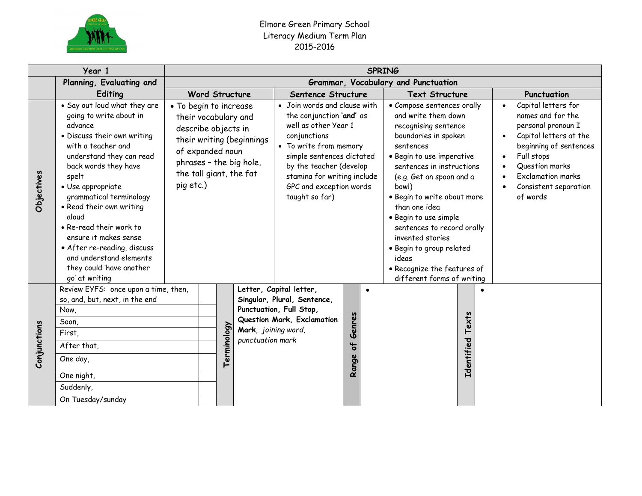

| Year 1       |                                                                                                                                                                                                                                                                                                                                                                                                                                       | <b>SPRING</b>                                                                                                                                                |             |                                         |                                                                                                                                                                                                                                                                |                                                     |                                                                                                                                                                                                                                                                                                                                                                                                                                            |                                                                                                                                                                                                                                               |  |  |
|--------------|---------------------------------------------------------------------------------------------------------------------------------------------------------------------------------------------------------------------------------------------------------------------------------------------------------------------------------------------------------------------------------------------------------------------------------------|--------------------------------------------------------------------------------------------------------------------------------------------------------------|-------------|-----------------------------------------|----------------------------------------------------------------------------------------------------------------------------------------------------------------------------------------------------------------------------------------------------------------|-----------------------------------------------------|--------------------------------------------------------------------------------------------------------------------------------------------------------------------------------------------------------------------------------------------------------------------------------------------------------------------------------------------------------------------------------------------------------------------------------------------|-----------------------------------------------------------------------------------------------------------------------------------------------------------------------------------------------------------------------------------------------|--|--|
|              | Planning, Evaluating and                                                                                                                                                                                                                                                                                                                                                                                                              | Grammar, Vocabulary and Punctuation                                                                                                                          |             |                                         |                                                                                                                                                                                                                                                                |                                                     |                                                                                                                                                                                                                                                                                                                                                                                                                                            |                                                                                                                                                                                                                                               |  |  |
|              | Editing                                                                                                                                                                                                                                                                                                                                                                                                                               | <b>Word Structure</b>                                                                                                                                        |             |                                         | Sentence Structure                                                                                                                                                                                                                                             |                                                     | <b>Text Structure</b>                                                                                                                                                                                                                                                                                                                                                                                                                      | Punctuation                                                                                                                                                                                                                                   |  |  |
| Objectives   | . Say out loud what they are<br>going to write about in<br>advance<br>· Discuss their own writing<br>with a teacher and<br>understand they can read<br>back words they have<br>spelt<br>• Use appropriate<br>grammatical terminology<br>• Read their own writing<br>aloud<br>• Re-read their work to<br>ensure it makes sense<br>• After re-reading, discuss<br>and understand elements<br>they could 'have another<br>go' at writing | • To begin to increase<br>their vocabulary and<br>describe objects in<br>of expanded noun<br>phrases - the big hole,<br>the tall giant, the fat<br>pig etc.) |             | their writing (beginnings               | • Join words and clause with<br>the conjunction 'and' as<br>well as other Year 1<br>conjunctions<br>• To write from memory<br>simple sentences dictated<br>by the teacher (develop<br>stamina for writing include<br>GPC and exception words<br>taught so far) |                                                     | • Compose sentences orally<br>and write them down<br>recognising sentence<br>boundaries in spoken<br>sentences<br>· Begin to use imperative<br>sentences in instructions<br>(e.g. Get an spoon and a<br>bowl)<br>· Begin to write about more<br>than one idea<br>· Begin to use simple<br>sentences to record orally<br>invented stories<br>· Begin to group related<br>ideas<br>• Recognize the features of<br>different forms of writing | Capital letters for<br>$\bullet$<br>names and for the<br>personal pronoun I<br>Capital letters at the<br>beginning of sentences<br>Full stops<br>$\bullet$<br>Question marks<br><b>Exclamation marks</b><br>Consistent separation<br>of words |  |  |
| Conjunctions | Review EYFS: once upon a time, then,<br>so, and, but, next, in the end<br>Now,<br>Soon,<br>First,<br>After that,<br>One day,<br>One night,<br>Suddenly,                                                                                                                                                                                                                                                                               |                                                                                                                                                              | Terminology | Mark, joining word,<br>punctuation mark | Letter, Capital letter,<br>Singular, Plural, Sentence,<br>Punctuation, Full Stop,<br>Question Mark, Exclamation                                                                                                                                                | $\bullet$<br>Genres<br>$\overline{\sigma}$<br>Range | $\bullet$<br>Texts<br>Identified                                                                                                                                                                                                                                                                                                                                                                                                           |                                                                                                                                                                                                                                               |  |  |
|              | On Tuesday/sunday                                                                                                                                                                                                                                                                                                                                                                                                                     |                                                                                                                                                              |             |                                         |                                                                                                                                                                                                                                                                |                                                     |                                                                                                                                                                                                                                                                                                                                                                                                                                            |                                                                                                                                                                                                                                               |  |  |